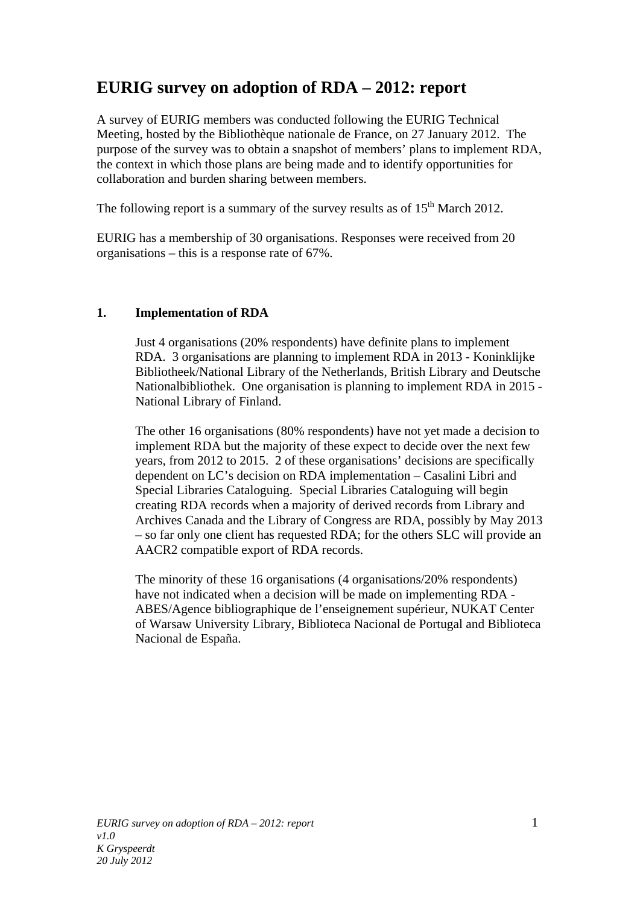# **EURIG survey on adoption of RDA – 2012: report**

A survey of EURIG members was conducted following the EURIG Technical Meeting, hosted by the Bibliothèque nationale de France, on 27 January 2012. The purpose of the survey was to obtain a snapshot of members' plans to implement RDA, the context in which those plans are being made and to identify opportunities for collaboration and burden sharing between members.

The following report is a summary of the survey results as of  $15<sup>th</sup>$  March 2012.

EURIG has a membership of 30 organisations. Responses were received from 20 organisations – this is a response rate of 67%.

# **1. Implementation of RDA**

Just 4 organisations (20% respondents) have definite plans to implement RDA. 3 organisations are planning to implement RDA in 2013 - Koninklijke Bibliotheek/National Library of the Netherlands, British Library and Deutsche Nationalbibliothek. One organisation is planning to implement RDA in 2015 - National Library of Finland.

The other 16 organisations (80% respondents) have not yet made a decision to implement RDA but the majority of these expect to decide over the next few years, from 2012 to 2015. 2 of these organisations' decisions are specifically dependent on LC's decision on RDA implementation – Casalini Libri and Special Libraries Cataloguing. Special Libraries Cataloguing will begin creating RDA records when a majority of derived records from Library and Archives Canada and the Library of Congress are RDA, possibly by May 2013 – so far only one client has requested RDA; for the others SLC will provide an AACR2 compatible export of RDA records.

The minority of these 16 organisations (4 organisations/20% respondents) have not indicated when a decision will be made on implementing RDA - ABES/Agence bibliographique de l'enseignement supérieur, NUKAT Center of Warsaw University Library, Biblioteca Nacional de Portugal and Biblioteca Nacional de España.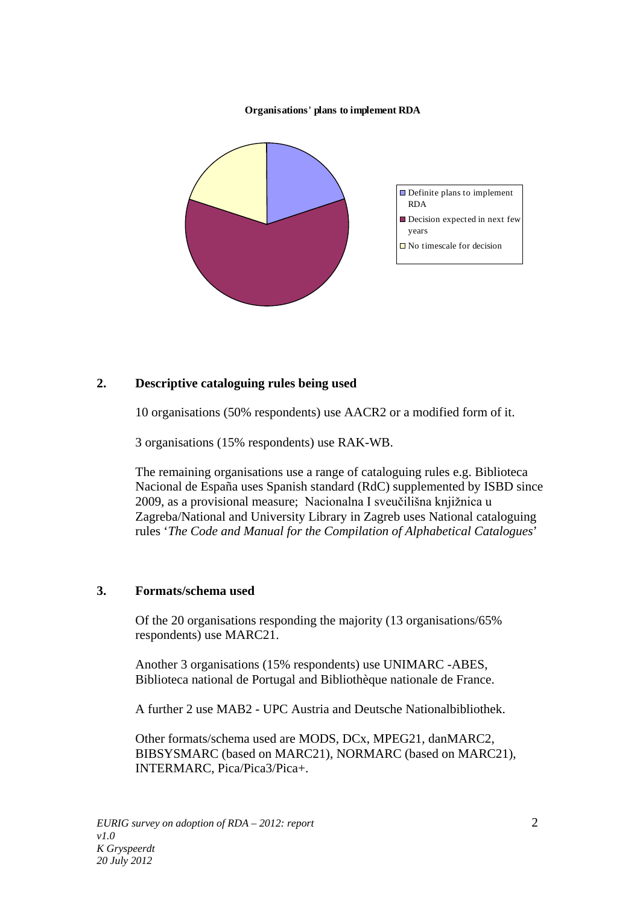#### **Organisations' plans to implement RDA**



## **2. Descriptive cataloguing rules being used**

10 organisations (50% respondents) use AACR2 or a modified form of it.

3 organisations (15% respondents) use RAK-WB.

The remaining organisations use a range of cataloguing rules e.g. Biblioteca Nacional de España uses Spanish standard (RdC) supplemented by ISBD since 2009, as a provisional measure; Nacionalna I sveučilišna knjižnica u Zagreba/National and University Library in Zagreb uses National cataloguing rules '*The Code and Manual for the Compilation of Alphabetical Catalogues*'

## **3. Formats/schema used**

Of the 20 organisations responding the majority (13 organisations/65% respondents) use MARC21.

Another 3 organisations (15% respondents) use UNIMARC -ABES, Biblioteca national de Portugal and Bibliothèque nationale de France.

A further 2 use MAB2 - UPC Austria and Deutsche Nationalbibliothek.

Other formats/schema used are MODS, DCx, MPEG21, danMARC2, BIBSYSMARC (based on MARC21), NORMARC (based on MARC21), INTERMARC, Pica/Pica3/Pica+.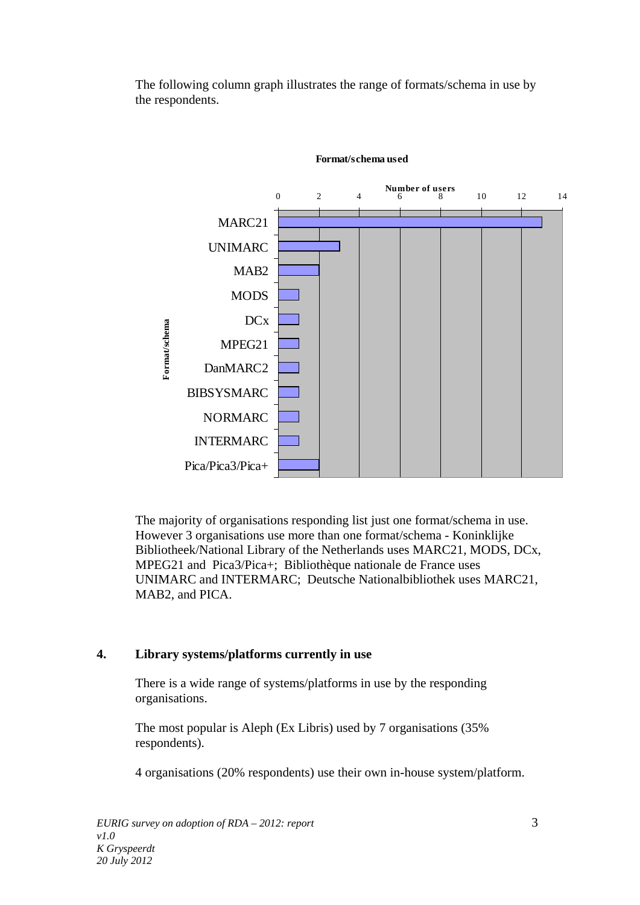The following column graph illustrates the range of formats/schema in use by the respondents.



#### **Format/schema used**

<span id="page-2-0"></span>The majority of organisations responding list just one format/schema in use. However 3 organisations use more than one format/schema - Koninklijke Bibliotheek/National Library of the Netherlands uses MARC21, MODS, DCx, MPEG21 and Pica3/Pica+; Bibliothèque nationale de France uses UNIMARC and INTERMARC; Deutsche Nationalbibliothek uses MARC21, MAB2, and PICA.

## **4. Library systems/platforms currently in use**

There is a wide range of systems/platforms in use by the responding organisations.

The most popular is Aleph (Ex Libris) used by 7 organisations (35% respondents).

4 organisations (20% respondents) use their own in-house system/platform.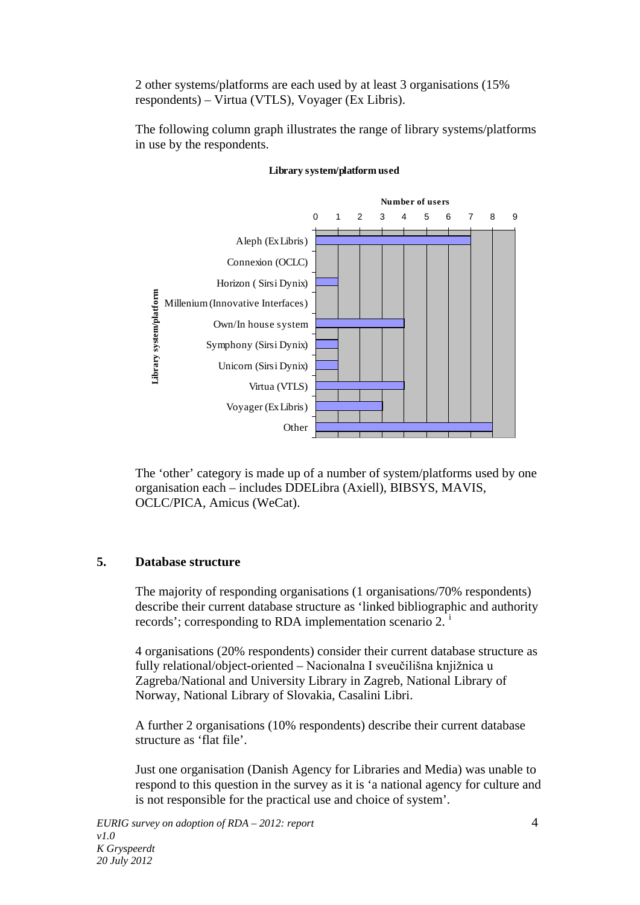2 other systems/platforms are each used by at least 3 organisations (15% respondents) – Virtua (VTLS), Voyager (Ex Libris).

The following column graph illustrates the range of library systems/platforms in use by the respondents.



### **Library system/platform used**

The 'other' category is made up of a number of system/platforms used by one organisation each – includes DDELibra (Axiell), BIBSYS, MAVIS, OCLC/PICA, Amicus (WeCat).

## **5. Database structure**

The majority of responding organisations (1 organisations/70% respondents) describe their current database structure as 'linked bibliographic and authority records'; correspond[i](#page-2-0)ng to RDA implementation scenario 2.<sup>1</sup>

4 organisations (20% respondents) consider their current database structure as fully relational/object-oriented – Nacionalna I sveučilišna knjižnica u Zagreba/National and University Library in Zagreb, National Library of Norway, National Library of Slovakia, Casalini Libri.

A further 2 organisations (10% respondents) describe their current database structure as 'flat file'.

Just one organisation (Danish Agency for Libraries and Media) was unable to respond to this question in the survey as it is 'a national agency for culture and is not responsible for the practical use and choice of system'.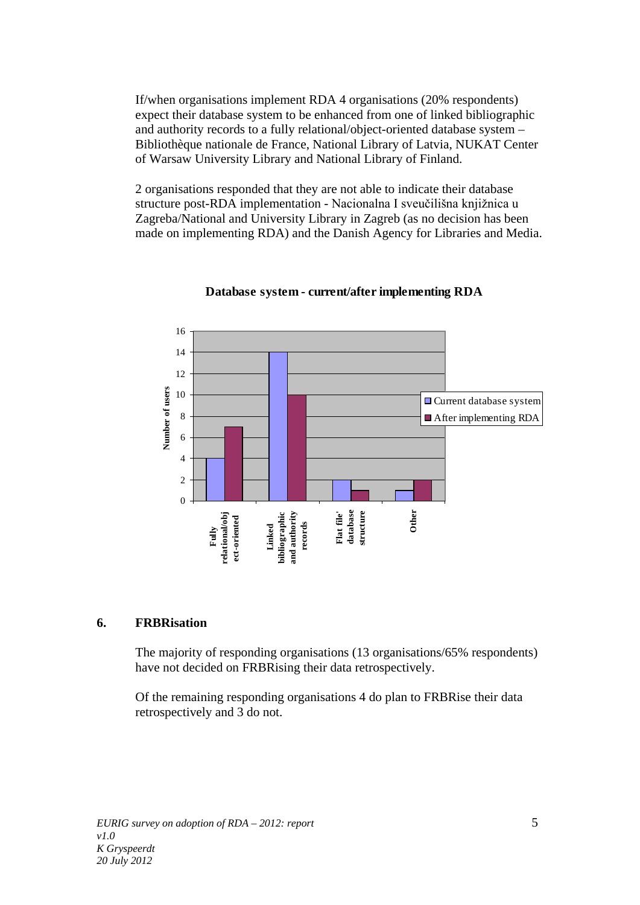If/when organisations implement RDA 4 organisations (20% respondents) expect their database system to be enhanced from one of linked bibliographic and authority records to a fully relational/object-oriented database system – Bibliothèque nationale de France, National Library of Latvia, NUKAT Center of Warsaw University Library and National Library of Finland.

2 organisations responded that they are not able to indicate their database structure post-RDA implementation - Nacionalna I sveučilišna knjižnica u Zagreba/National and University Library in Zagreb (as no decision has been made on implementing RDA) and the Danish Agency for Libraries and Media.



# **Database system - current/after implementing RDA**

## **6. FRBRisation**

The majority of responding organisations (13 organisations/65% respondents) have not decided on FRBRising their data retrospectively.

Of the remaining responding organisations 4 do plan to FRBRise their data retrospectively and 3 do not.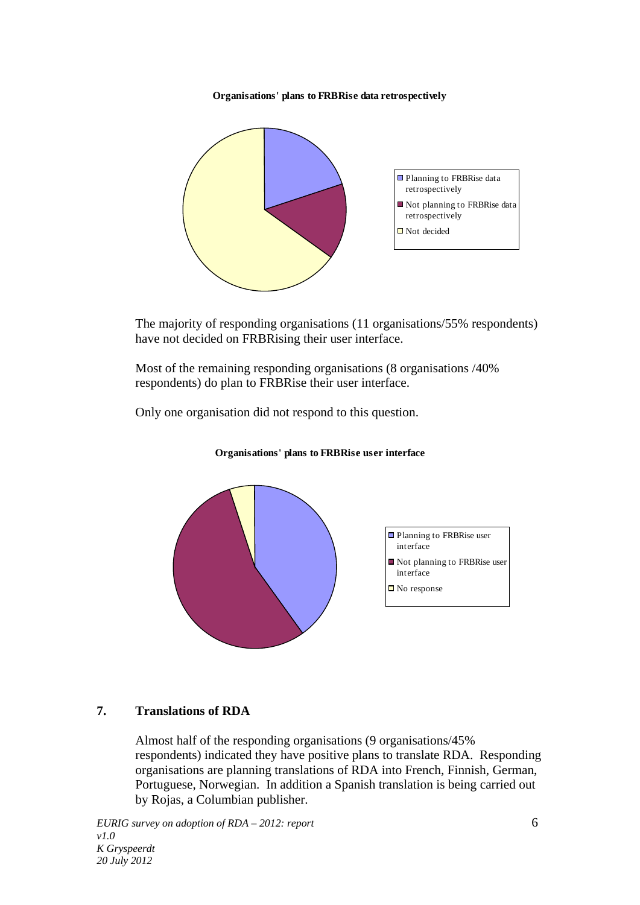**Organisations' plans to FRBRise data retrospectively**



The majority of responding organisations (11 organisations/55% respondents) have not decided on FRBRising their user interface.

Most of the remaining responding organisations (8 organisations /40% respondents) do plan to FRBRise their user interface.

Only one organisation did not respond to this question.



**Organisations' plans to FRBRise user interface**

# **7. Translations of RDA**

Almost half of the responding organisations (9 organisations/45% respondents) indicated they have positive plans to translate RDA. Responding organisations are planning translations of RDA into French, Finnish, German, Portuguese, Norwegian. In addition a Spanish translation is being carried out by Rojas, a Columbian publisher.

*EURIG survey on adoption of RDA – 2012: report* 6 *v1.0 K Gryspeerdt 20 July 2012*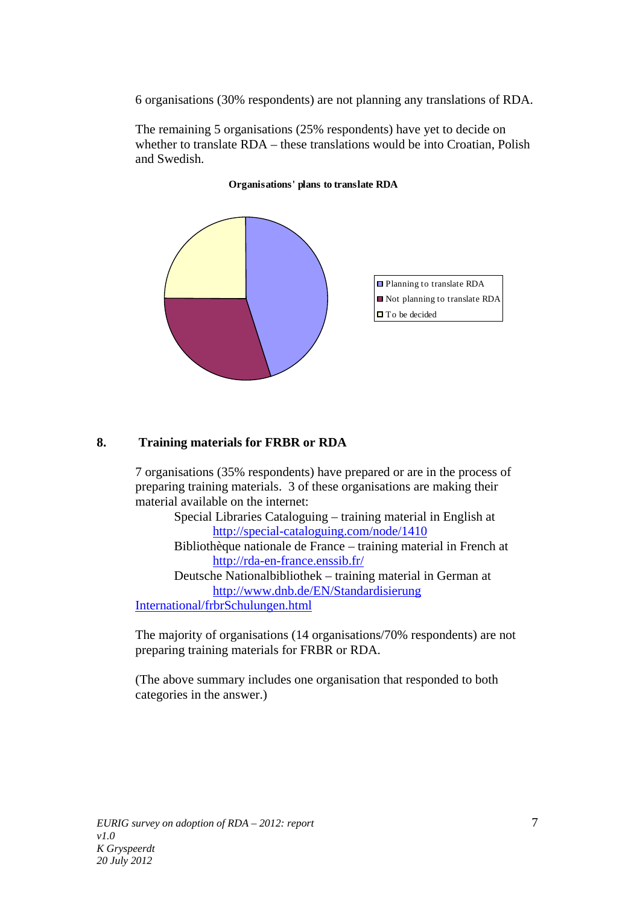6 organisations (30% respondents) are not planning any translations of RDA.

The remaining 5 organisations (25% respondents) have yet to decide on whether to translate RDA – these translations would be into Croatian, Polish and Swedish.



## **Organisations' plans to translate RDA**

## **8. Training materials for FRBR or RDA**

7 organisations (35% respondents) have prepared or are in the process of preparing training materials. 3 of these organisations are making their material available on the internet:

Special Libraries Cataloguing – training material in English at <http://special-cataloguing.com/node/1410>

Bibliothèque nationale de France – training material in French at <http://rda-en-france.enssib.fr/>

Deutsche Nationalbibliothek – training material in German at [http://www.dnb.de/EN/Standardisierung](http://www.dnb.de/EN/Standardisierung%20International/frbrSchulungen.html) 

[International/frbrSchulungen.html](http://www.dnb.de/EN/Standardisierung%20International/frbrSchulungen.html)

The majority of organisations (14 organisations/70% respondents) are not preparing training materials for FRBR or RDA.

(The above summary includes one organisation that responded to both categories in the answer.)